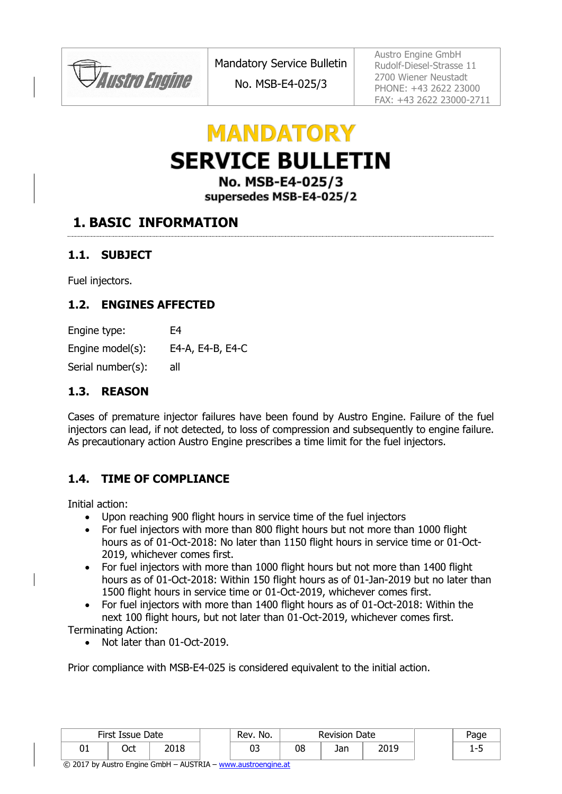*Austro Engine* 

Mandatory Service Bulletin

No. MSB-E4-025/3

Austro Engine GmbH Rudolf-Diesel-Strasse 11 2700 Wiener Neustadt PHONE: +43 2622 23000 FAX: +43 2622 23000-2711

# **MANDATORY SERVICE BULLETIN**

No. MSB-E4-025/3 supersedes MSB-E4-025/2

#### **1. BASIC INFORMATION**

#### **1.1. SUBJECT**

Fuel injectors.

#### **1.2. ENGINES AFFECTED**

| Engine type:      | F4               |
|-------------------|------------------|
| Engine model(s):  | E4-A, E4-B, E4-C |
| Serial number(s): | all              |

#### **1.3. REASON**

Cases of premature injector failures have been found by Austro Engine. Failure of the fuel injectors can lead, if not detected, to loss of compression and subsequently to engine failure. As precautionary action Austro Engine prescribes a time limit for the fuel injectors.

#### **1.4. TIME OF COMPLIANCE**

Initial action:

- Upon reaching 900 flight hours in service time of the fuel injectors
- For fuel injectors with more than 800 flight hours but not more than 1000 flight hours as of 01-Oct-2018: No later than 1150 flight hours in service time or 01-Oct-2019, whichever comes first.
- For fuel injectors with more than 1000 flight hours but not more than 1400 flight hours as of 01-Oct-2018: Within 150 flight hours as of 01-Jan-2019 but no later than 1500 flight hours in service time or 01-Oct-2019, whichever comes first.
- For fuel injectors with more than 1400 flight hours as of 01-Oct-2018: Within the next 100 flight hours, but not later than 01-Oct-2019, whichever comes first. Terminating Action:
	- Not later than 01-Oct-2019.

Prior compliance with MSB-E4-025 is considered equivalent to the initial action.

|    | First Issue Date |      | No.<br>Rev. |         | <b>Revision Date</b> | Page        |      |           |
|----|------------------|------|-------------|---------|----------------------|-------------|------|-----------|
| UŦ | $\sim$<br>uu     | 2018 |             | ົ<br>ບປ | 08                   | lo n<br>JaH | 2019 | . –<br>-- |

© 2017 by Austro Engine GmbH – AUSTRIA – [www.austroengine.at](http://www.austroengine.at/)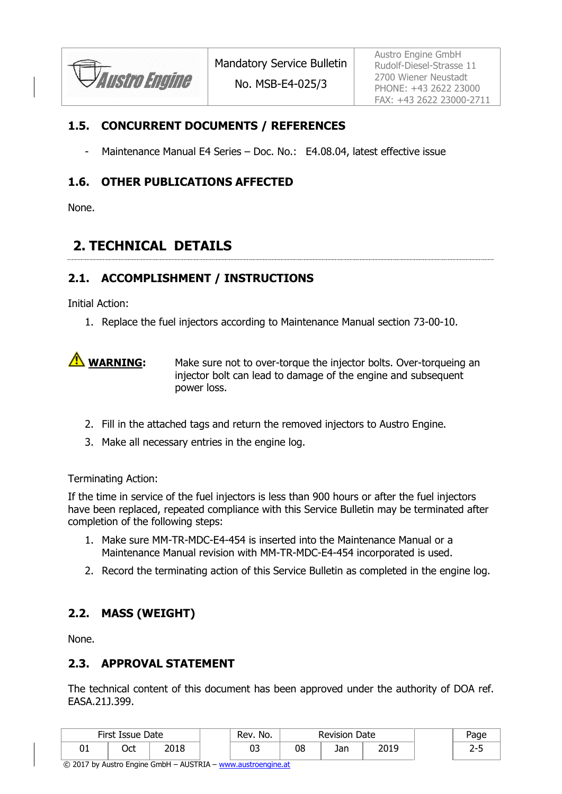**Austro Engine** 

No. MSB-E4-025/3

#### **1.5. CONCURRENT DOCUMENTS / REFERENCES**

Maintenance Manual E4 Series – Doc. No.: E4.08.04, latest effective issue

#### **1.6. OTHER PUBLICATIONS AFFECTED**

None.

#### **2. TECHNICAL DETAILS**

#### <span id="page-1-0"></span>**2.1. ACCOMPLISHMENT / INSTRUCTIONS**

Initial Action:

1. Replace the fuel injectors according to Maintenance Manual section 73-00-10.

**WARNING:** Make sure not to over-torque the injector bolts. Over-torqueing an injector bolt can lead to damage of the engine and subsequent power loss.

- 2. Fill in the attached tags and return the removed injectors to Austro Engine.
- 3. Make all necessary entries in the engine log.

#### Terminating Action:

If the time in service of the fuel injectors is less than 900 hours or after the fuel injectors have been replaced, repeated compliance with this Service Bulletin may be terminated after completion of the following steps:

- 1. Make sure MM-TR-MDC-E4-454 is inserted into the Maintenance Manual or a Maintenance Manual revision with MM-TR-MDC-E4-454 incorporated is used.
- 2. Record the terminating action of this Service Bulletin as completed in the engine log.

#### **2.2. MASS (WEIGHT)**

None.

#### **2.3. APPROVAL STATEMENT**

The technical content of this document has been approved under the authority of DOA ref. EASA.21J.399.

|    | First Issue Date |      | Rev. No. | <b>Revision Date</b> | Page |      |  |
|----|------------------|------|----------|----------------------|------|------|--|
| ∪⊥ | Oct              | 2018 | ∩−<br>ັບ | 80                   | Jan  | 2019 |  |

© 2017 by Austro Engine GmbH – AUSTRIA – [www.austroengine.at](http://www.austroengine.at/)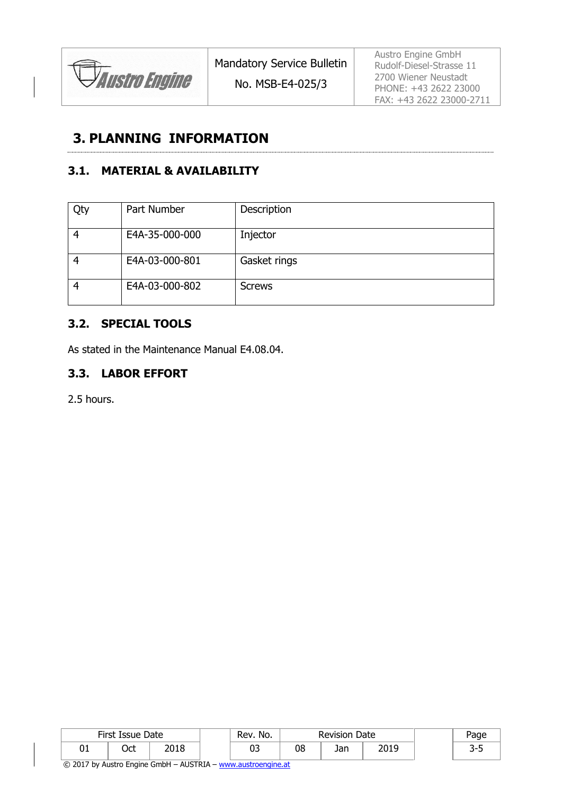

No. MSB-E4-025/3

Austro Engine GmbH Rudolf-Diesel-Strasse 11 2700 Wiener Neustadt PHONE: +43 2622 23000 FAX: +43 2622 23000-2711

## **3. PLANNING INFORMATION**

#### **3.1. MATERIAL & AVAILABILITY**

| Qty | Part Number    | Description   |
|-----|----------------|---------------|
|     | E4A-35-000-000 | Injector      |
|     | E4A-03-000-801 | Gasket rings  |
|     | E4A-03-000-802 | <b>Screws</b> |

#### **3.2. SPECIAL TOOLS**

As stated in the Maintenance Manual E4.08.04.

#### **3.3. LABOR EFFORT**

2.5 hours.

| First Issue Date |     | No.<br>Rev. | Revision<br>Date |    |     | Page         |   |
|------------------|-----|-------------|------------------|----|-----|--------------|---|
| υ⊥               | Oct | 2018        | רח<br>ບບ         | 80 | Jan | 2010<br>2013 | ັ |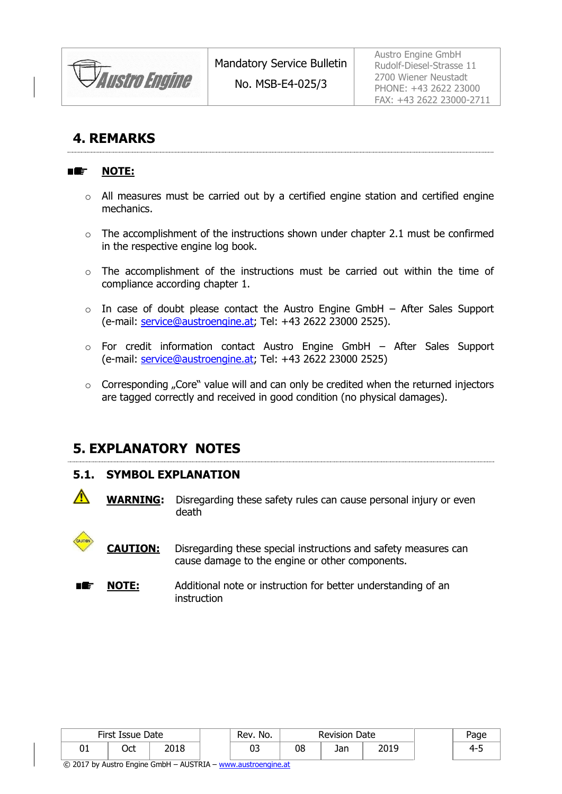

No. MSB-E4-025/3

Austro Engine GmbH Rudolf-Diesel-Strasse 11 2700 Wiener Neustadt PHONE: +43 2622 23000 FAX: +43 2622 23000-2711

## **4. REMARKS**

#### ■鑑一 **NOTE:**

- o All measures must be carried out by a certified engine station and certified engine mechanics.
- $\circ$  The accomplishment of the instructions shown under chapter [2.1](#page-1-0) must be confirmed in the respective engine log book.
- o The accomplishment of the instructions must be carried out within the time of compliance according chapter 1.
- $\circ$  In case of doubt please contact the Austro Engine GmbH After Sales Support (e-mail: [service@austroengine.at;](mailto:service@austroengine.at) Tel: +43 2622 23000 2525).
- $\circ$  For credit information contact Austro Engine GmbH After Sales Support (e-mail: [service@austroengine.at;](mailto:service@austroengine.at) Tel: +43 2622 23000 2525)
- $\circ$  Corresponding "Core" value will and can only be credited when the returned injectors are tagged correctly and received in good condition (no physical damages).

#### **5. EXPLANATORY NOTES**

#### **5.1. SYMBOL EXPLANATION**

- $\sqrt{N}$ **WARNING:** Disregarding these safety rules can cause personal injury or even death
	- **CAUTION:** Disregarding these special instructions and safety measures can cause damage to the engine or other components.
- **NOTE:** Additional note or instruction for better understanding of an instruction

|    | First Issue Date |      | No.<br>Rev. |          |    | <b>Revision</b><br>Date | aac         |    |
|----|------------------|------|-------------|----------|----|-------------------------|-------------|----|
| UŦ | Oct              | 2018 |             | רח<br>ບປ | 80 | Jan                     | 2010<br>_v_ | 4- |

© 2017 by Austro Engine GmbH – AUSTRIA – [www.austroengine.at](http://www.austroengine.at/)